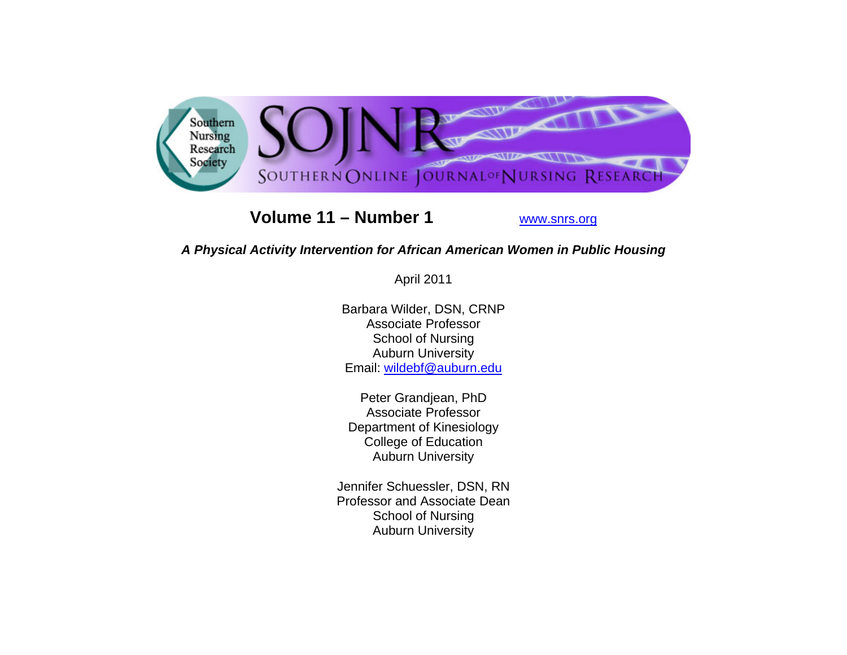

# **Volume 11 – Number 1**

www.snrs.org

# *A Physical Activity Intervention for African American Women in Public Housing*

April 2011

Barbara Wilder, DSN, CRNP Associate Professor School of Nursing Auburn University Email: <u>wildebf@auburn.edu</u>

Peter Grandjean, PhD Associate Professor Department of Kinesiology College of Education Auburn University

Jennifer Schuessler, DSN, RN Professor and Associate Dean School of Nursing Auburn University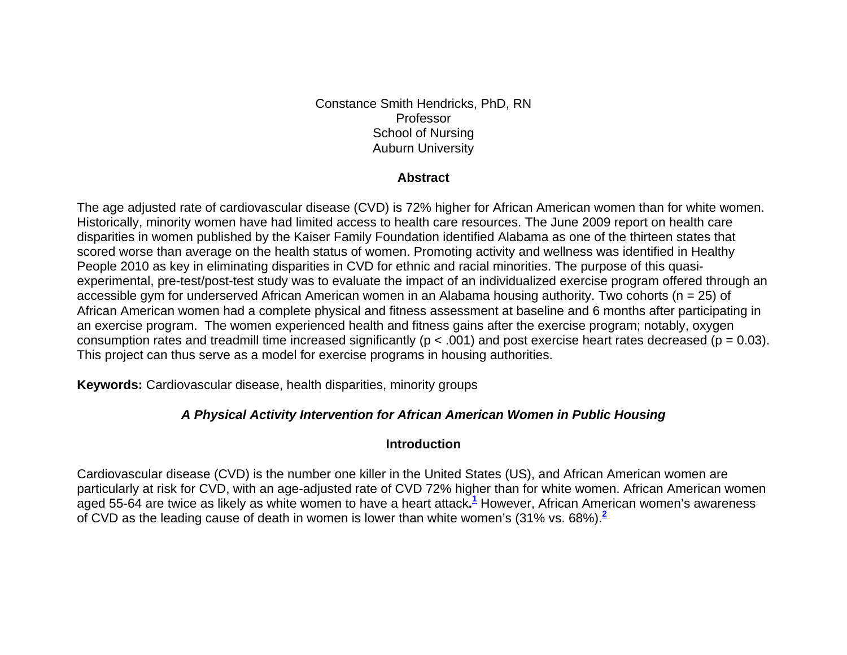## Constance Smith Hendricks, PhD, RN Professor School of Nursing Auburn University

#### **Abstract**

The age adjusted rate of cardiovascular disease (CVD) is 72% higher for African American women than for white women. Historically, minority women have had limited access to health care resources. The June 2009 report on health care disparities in women published by the Kaiser Family Foundation identified Alabama as one of the thirteen states that scored worse than average on the health status of women. Promoting activity and wellness was identified in Healthy People 2010 as key in eliminating disparities in CVD for ethnic and racial minorities. The purpose of this quasiexperimental, pre-test/post-test study was to evaluate the impact of an individualized exercise program offered through an accessible gym for underserved African American women in an Alabama housing authority. Two cohorts (n = 25) of African American women had a complete physical and fitness assessment at baseline and 6 months after participating in an exercise program. The women experienced health and fitness gains after the exercise program; notably, oxygen consumption rates and treadmill time increased significantly ( $p < .001$ ) and post exercise heart rates decreased ( $p = 0.03$ ). This project can thus serve as a model for exercise programs in housing authorities.

**Keywords:** Cardiovascular disease, health disparities, minority groups

# *A Physical Activity Intervention for African American Women in Public Housing*

# **Introduction**

Cardiovascular disease (CVD) is the number one killer in the United States (US), and African American women are particularly at risk for CVD, with an age-adjusted rate of CVD 72% higher than for white women. African American women aged 55-64 are twice as likely as white women to have a heart attack**.<sup>1</sup>** However, African American women's awareness of CVD as the leading cause of death in women is lower than white women's (31% vs. 68%).**<sup>2</sup>**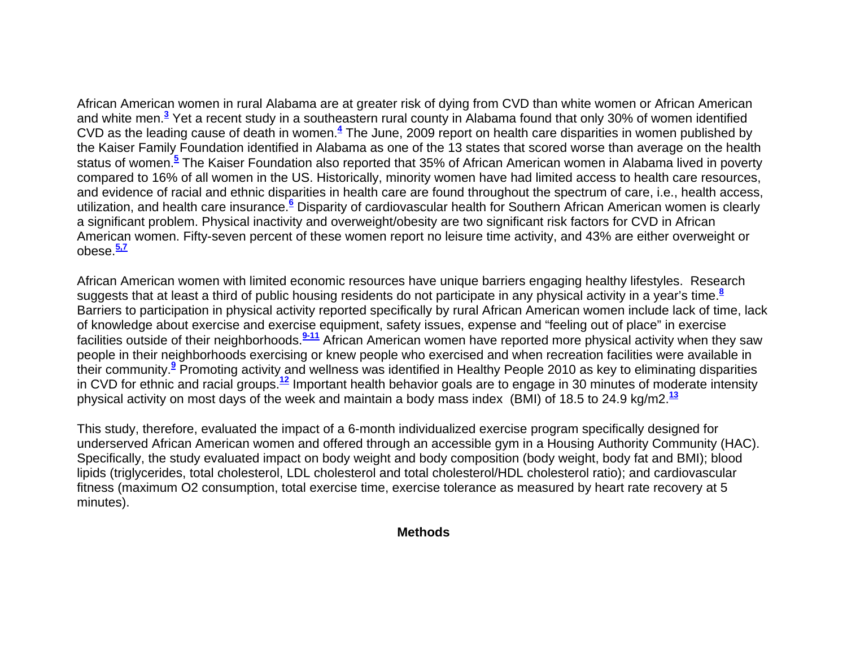African American women in rural Alabama are at greater risk of dying from CVD than white women or African American and white men.**<sup>3</sup>** Yet a recent study in a southeastern rural county in Alabama found that only 30% of women identified CVD as the leading cause of death in women.**<sup>4</sup>** The June, 2009 report on health care disparities in women published by the Kaiser Family Foundation identified in Alabama as one of the 13 states that scored worse than average on the health status of women.**<sup>5</sup>** The Kaiser Foundation also reported that 35% of African American women in Alabama lived in poverty compared to 16% of all women in the US. Historically, minority women have had limited access to health care resources, and evidence of racial and ethnic disparities in health care are found throughout the spectrum of care, i.e., health access, utilization, and health care insurance.**<sup>6</sup>** Disparity of cardiovascular health for Southern African American women is clearly a significant problem. Physical inactivity and overweight/obesity are two significant risk factors for CVD in African American women. Fifty-seven percent of these women report no leisure time activity, and 43% are either overweight or obese.**5,7**

African American women with limited economic resources have unique barriers engaging healthy lifestyles. Research suggests that at least a third of public housing residents do not participate in any physical activity in a year's time.**<sup>8</sup>** Barriers to participation in physical activity reported specifically by rural African American women include lack of time, lack of knowledge about exercise and exercise equipment, safety issues, expense and "feeling out of place" in exercise facilities outside of their neighborhoods.**9-11** African American women have reported more physical activity when they saw people in their neighborhoods exercising or knew people who exercised and when recreation facilities were available in their community.**<sup>9</sup>** Promoting activity and wellness was identified in Healthy People 2010 as key to eliminating disparities in CVD for ethnic and racial groups.**<sup>12</sup>** Important health behavior goals are to engage in 30 minutes of moderate intensity physical activity on most days of the week and maintain a body mass index (BMI) of 18.5 to 24.9 kg/m2.**<sup>13</sup>**

This study, therefore, evaluated the impact of a 6-month individualized exercise program specifically designed for underserved African American women and offered through an accessible gym in a Housing Authority Community (HAC). Specifically, the study evaluated impact on body weight and body composition (body weight, body fat and BMI); blood lipids (triglycerides, total cholesterol, LDL cholesterol and total cholesterol/HDL cholesterol ratio); and cardiovascular fitness (maximum O2 consumption, total exercise time, exercise tolerance as measured by heart rate recovery at 5 minutes).

#### **Methods**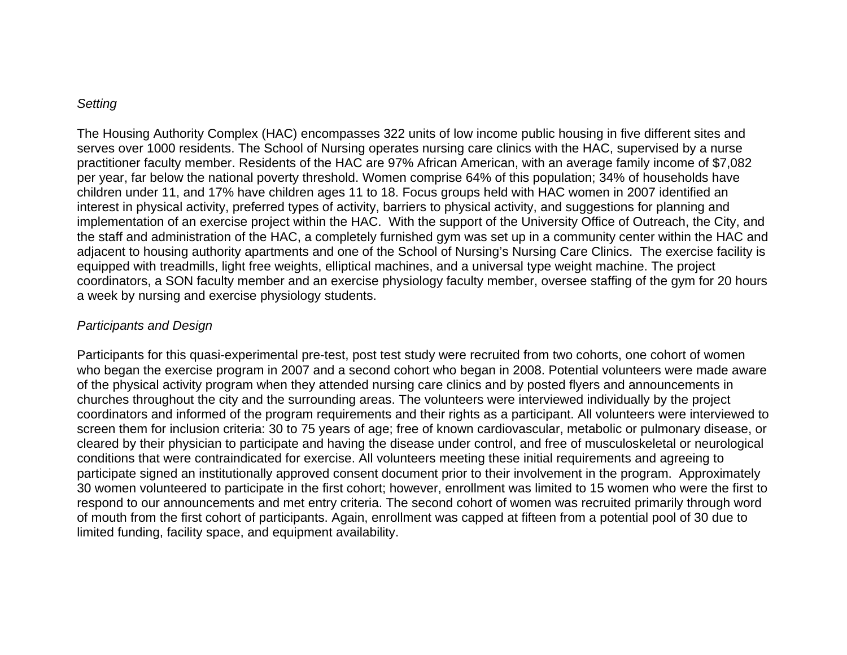## *Setting*

The Housing Authority Complex (HAC) encompasses 322 units of low income public housing in five different sites and serves over 1000 residents. The School of Nursing operates nursing care clinics with the HAC, supervised by a nurse practitioner faculty member. Residents of the HAC are 97% African American, with an average family income of \$7,082 per year, far below the national poverty threshold. Women comprise 64% of this population; 34% of households have children under 11, and 17% have children ages 11 to 18. Focus groups held with HAC women in 2007 identified an interest in physical activity, preferred types of activity, barriers to physical activity, and suggestions for planning and implementation of an exercise project within the HAC. With the support of the University Office of Outreach, the City, and the staff and administration of the HAC, a completely furnished gym was set up in a community center within the HAC and adjacent to housing authority apartments and one of the School of Nursing's Nursing Care Clinics. The exercise facility is equipped with treadmills, light free weights, elliptical machines, and a universal type weight machine. The project coordinators, a SON faculty member and an exercise physiology faculty member, oversee staffing of the gym for 20 hours a week by nursing and exercise physiology students.

#### *Participants and Design*

Participants for this quasi-experimental pre-test, post test study were recruited from two cohorts, one cohort of women who began the exercise program in 2007 and a second cohort who began in 2008. Potential volunteers were made aware of the physical activity program when they attended nursing care clinics and by posted flyers and announcements in churches throughout the city and the surrounding areas. The volunteers were interviewed individually by the project coordinators and informed of the program requirements and their rights as a participant. All volunteers were interviewed to screen them for inclusion criteria: 30 to 75 years of age; free of known cardiovascular, metabolic or pulmonary disease, or cleared by their physician to participate and having the disease under control, and free of musculoskeletal or neurological conditions that were contraindicated for exercise. All volunteers meeting these initial requirements and agreeing to participate signed an institutionally approved consent document prior to their involvement in the program. Approximately 30 women volunteered to participate in the first cohort; however, enrollment was limited to 15 women who were the first to respond to our announcements and met entry criteria. The second cohort of women was recruited primarily through word of mouth from the first cohort of participants. Again, enrollment was capped at fifteen from a potential pool of 30 due to limited funding, facility space, and equipment availability.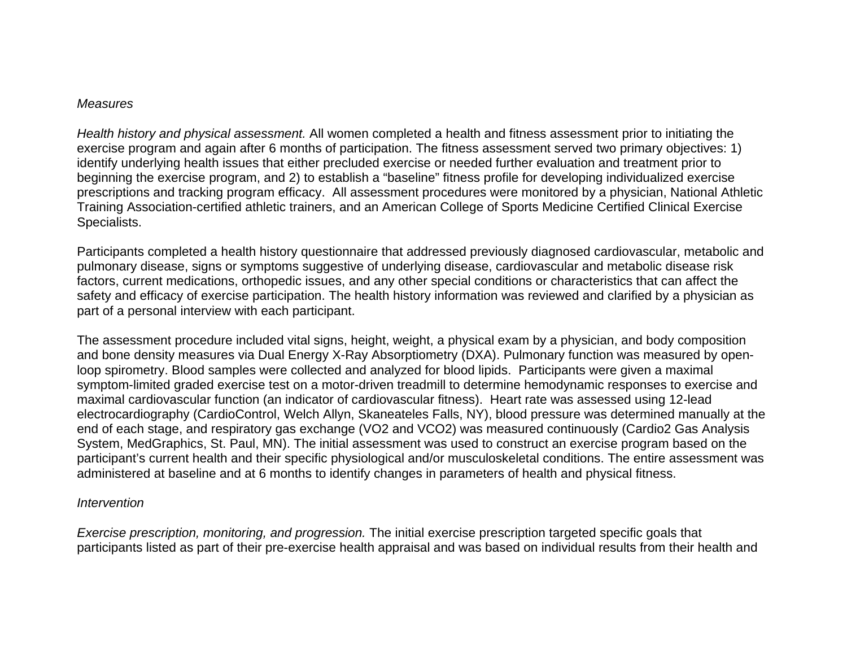#### *Measures*

*Health history and physical assessment.* All women completed a health and fitness assessment prior to initiating the exercise program and again after 6 months of participation. The fitness assessment served two primary objectives: 1) identify underlying health issues that either precluded exercise or needed further evaluation and treatment prior to beginning the exercise program, and 2) to establish a "baseline" fitness profile for developing individualized exercise prescriptions and tracking program efficacy. All assessment procedures were monitored by a physician, National Athletic Training Association-certified athletic trainers, and an American College of Sports Medicine Certified Clinical Exercise Specialists.

Participants completed a health history questionnaire that addressed previously diagnosed cardiovascular, metabolic and pulmonary disease, signs or symptoms suggestive of underlying disease, cardiovascular and metabolic disease risk factors, current medications, orthopedic issues, and any other special conditions or characteristics that can affect the safety and efficacy of exercise participation. The health history information was reviewed and clarified by a physician as part of a personal interview with each participant.

The assessment procedure included vital signs, height, weight, a physical exam by a physician, and body composition and bone density measures via Dual Energy X-Ray Absorptiometry (DXA). Pulmonary function was measured by openloop spirometry. Blood samples were collected and analyzed for blood lipids. Participants were given a maximal symptom-limited graded exercise test on a motor-driven treadmill to determine hemodynamic responses to exercise and maximal cardiovascular function (an indicator of cardiovascular fitness). Heart rate was assessed using 12-lead electrocardiography (CardioControl, Welch Allyn, Skaneateles Falls, NY), blood pressure was determined manually at the end of each stage, and respiratory gas exchange (VO2 and VCO2) was measured continuously (Cardio2 Gas Analysis System, MedGraphics, St. Paul, MN). The initial assessment was used to construct an exercise program based on the participant's current health and their specific physiological and/or musculoskeletal conditions. The entire assessment was administered at baseline and at 6 months to identify changes in parameters of health and physical fitness.

#### *Intervention*

*Exercise prescription, monitoring, and progression.* The initial exercise prescription targeted specific goals that participants listed as part of their pre-exercise health appraisal and was based on individual results from their health and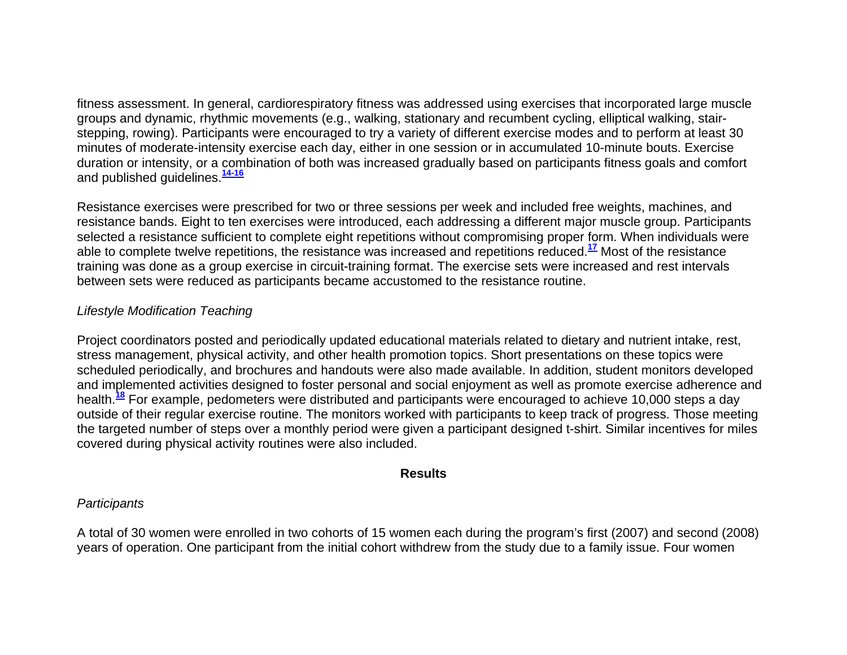fitness assessment. In general, cardiorespiratory fitness was addressed using exercises that incorporated large muscle groups and dynamic, rhythmic movements (e.g., walking, stationary and recumbent cycling, elliptical walking, stairstepping, rowing). Participants were encouraged to try a variety of different exercise modes and to perform at least 30 minutes of moderate-intensity exercise each day, either in one session or in accumulated 10-minute bouts. Exercise duration or intensity, or a combination of both was increased gradually based on participants fitness goals and comfort and published guidelines.**14-16**

Resistance exercises were prescribed for two or three sessions per week and included free weights, machines, and resistance bands. Eight to ten exercises were introduced, each addressing a different major muscle group. Participants selected a resistance sufficient to complete eight repetitions without compromising proper form. When individuals were able to complete twelve repetitions, the resistance was increased and repetitions reduced.**<sup>17</sup>** Most of the resistance training was done as a group exercise in circuit-training format. The exercise sets were increased and rest intervals between sets were reduced as participants became accustomed to the resistance routine.

## *Lifestyle Modification Teaching*

Project coordinators posted and periodically updated educational materials related to dietary and nutrient intake, rest, stress management, physical activity, and other health promotion topics. Short presentations on these topics were scheduled periodically, and brochures and handouts were also made available. In addition, student monitors developed and implemented activities designed to foster personal and social enjoyment as well as promote exercise adherence and health.**<sup>18</sup>** For example, pedometers were distributed and participants were encouraged to achieve 10,000 steps a day outside of their regular exercise routine. The monitors worked with participants to keep track of progress. Those meeting the targeted number of steps over a monthly period were given a participant designed t-shirt. Similar incentives for miles covered during physical activity routines were also included.

## **Results**

## *Participants*

A total of 30 women were enrolled in two cohorts of 15 women each during the program's first (2007) and second (2008) years of operation. One participant from the initial cohort withdrew from the study due to a family issue. Four women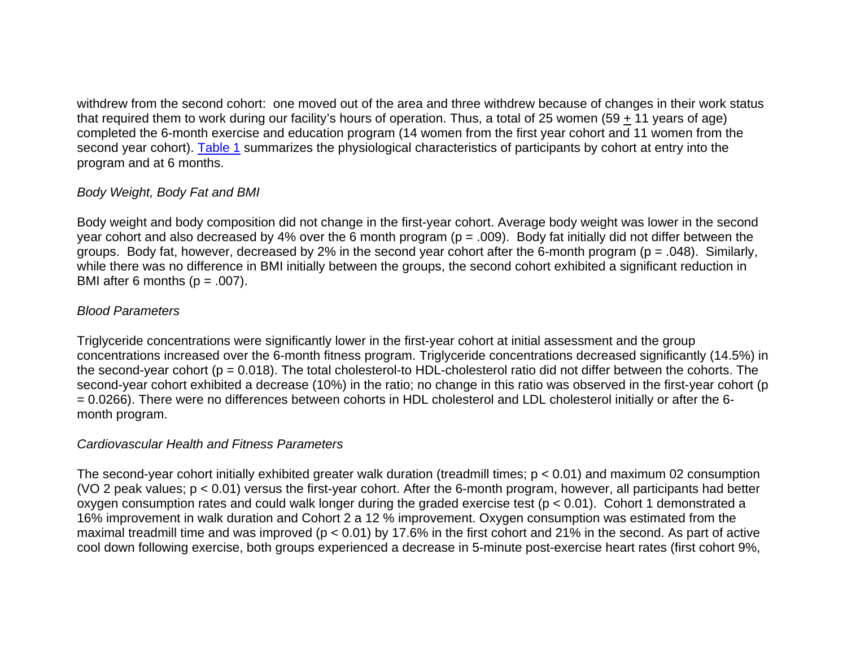withdrew from the second cohort: one moved out of the area and three withdrew because of changes in their work status that required them to work during our facility's hours of operation. Thus, a total of 25 women (59  $\pm$  11 years of age) completed the 6-month exercise and education program (14 women from the first year cohort and 11 women from the second year cohort). Table 1 summarizes the physiological characteristics of participants by cohort at entry into the program and at 6 months.

# *Body Weight, Body Fat and BMI*

Body weight and body composition did not change in the first-year cohort. Average body weight was lower in the second year cohort and also decreased by 4% over the 6 month program ( $p = .009$ ). Body fat initially did not differ between the groups. Body fat, however, decreased by 2% in the second year cohort after the 6-month program (p = .048). Similarly, while there was no difference in BMI initially between the groups, the second cohort exhibited a significant reduction in BMI after 6 months  $(p = .007)$ .

# *Blood Parameters*

Triglyceride concentrations were significantly lower in the first-year cohort at initial assessment and the group concentrations increased over the 6-month fitness program. Triglyceride concentrations decreased significantly (14.5%) in the second-year cohort ( $p = 0.018$ ). The total cholesterol-to HDL-cholesterol ratio did not differ between the cohorts. The second-year cohort exhibited a decrease (10%) in the ratio; no change in this ratio was observed in the first-year cohort (p = 0.0266). There were no differences between cohorts in HDL cholesterol and LDL cholesterol initially or after the 6 month program.

## *Cardiovascular Health and Fitness Parameters*

The second-year cohort initially exhibited greater walk duration (treadmill times; p < 0.01) and maximum 02 consumption (VO 2 peak values; p < 0.01) versus the first-year cohort. After the 6-month program, however, all participants had better oxygen consumption rates and could walk longer during the graded exercise test (p < 0.01). Cohort 1 demonstrated a 16% improvement in walk duration and Cohort 2 a 12 % improvement. Oxygen consumption was estimated from the maximal treadmill time and was improved ( $p < 0.01$ ) by 17.6% in the first cohort and 21% in the second. As part of active cool down following exercise, both groups experienced a decrease in 5-minute post-exercise heart rates (first cohort 9%,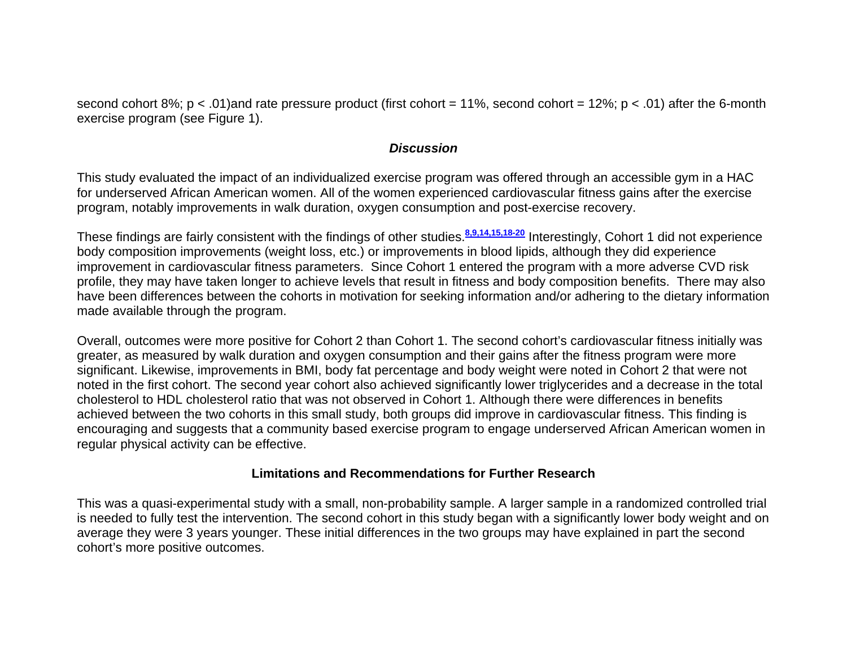second cohort 8%; p < .01)and rate pressure product (first cohort = 11%, second cohort = 12%; p < .01) after the 6-month exercise program (see Figure 1).

## *Discussion*

This study evaluated the impact of an individualized exercise program was offered through an accessible gym in a HAC for underserved African American women. All of the women experienced cardiovascular fitness gains after the exercise program, notably improvements in walk duration, oxygen consumption and post-exercise recovery.

These findings are fairly consistent with the findings of other studies.**8,9,14,15,18-20** Interestingly, Cohort 1 did not experience body composition improvements (weight loss, etc.) or improvements in blood lipids, although they did experience improvement in cardiovascular fitness parameters. Since Cohort 1 entered the program with a more adverse CVD risk profile, they may have taken longer to achieve levels that result in fitness and body composition benefits. There may also have been differences between the cohorts in motivation for seeking information and/or adhering to the dietary information made available through the program.

Overall, outcomes were more positive for Cohort 2 than Cohort 1. The second cohort's cardiovascular fitness initially was greater, as measured by walk duration and oxygen consumption and their gains after the fitness program were more significant. Likewise, improvements in BMI, body fat percentage and body weight were noted in Cohort 2 that were not noted in the first cohort. The second year cohort also achieved significantly lower triglycerides and a decrease in the total cholesterol to HDL cholesterol ratio that was not observed in Cohort 1. Although there were differences in benefits achieved between the two cohorts in this small study, both groups did improve in cardiovascular fitness. This finding is encouraging and suggests that a community based exercise program to engage underserved African American women in regular physical activity can be effective.

# **Limitations and Recommendations for Further Research**

This was a quasi-experimental study with a small, non-probability sample. A larger sample in a randomized controlled trial is needed to fully test the intervention. The second cohort in this study began with a significantly lower body weight and on average they were 3 years younger. These initial differences in the two groups may have explained in part the second cohort's more positive outcomes.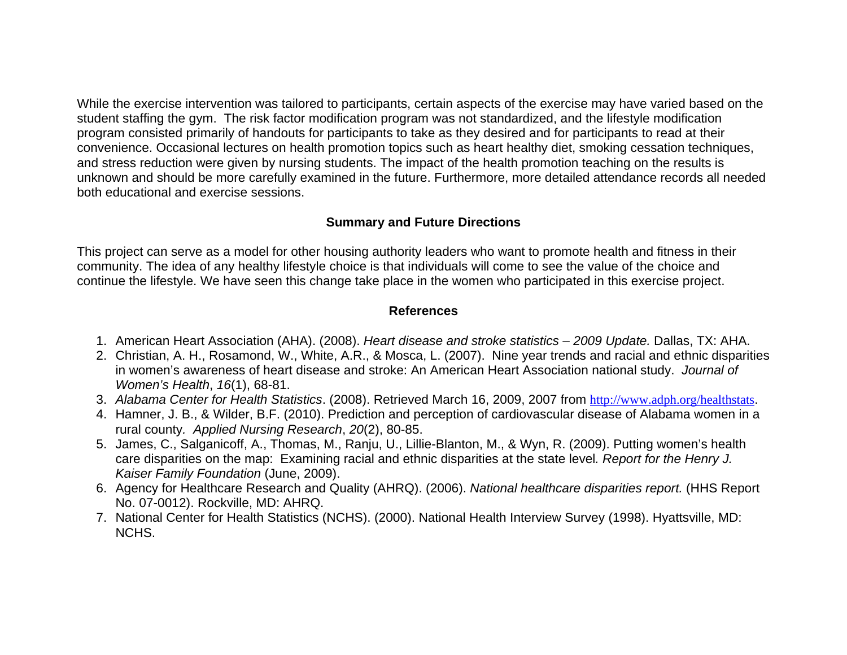While the exercise intervention was tailored to participants, certain aspects of the exercise may have varied based on the student staffing the gym. The risk factor modification program was not standardized, and the lifestyle modification program consisted primarily of handouts for participants to take as they desired and for participants to read at their convenience. Occasional lectures on health promotion topics such as heart healthy diet, smoking cessation techniques, and stress reduction were given by nursing students. The impact of the health promotion teaching on the results is unknown and should be more carefully examined in the future. Furthermore, more detailed attendance records all needed both educational and exercise sessions.

# **Summary and Future Directions**

This project can serve as a model for other housing authority leaders who want to promote health and fitness in their community. The idea of any healthy lifestyle choice is that individuals will come to see the value of the choice and continue the lifestyle. We have seen this change take place in the women who participated in this exercise project.

## **References**

- 1. American Heart Association (AHA). (2008). *Heart disease and stroke statistics 2009 Update.* Dallas, TX: AHA.
- 2. Christian, A. H., Rosamond, W., White, A.R., & Mosca, L. (2007). Nine year trends and racial and ethnic disparities in women's awareness of heart disease and stroke: An American Heart Association national study. *Journal of Women's Health*, *16*(1), 68-81.
- 3. *Alabama Center for Health Statistics*. (2008). Retrieved March 16, 2009, 2007 from http://www.adph.org/healthstats.
- 4. Hamner, J. B., & Wilder, B.F. (2010). Prediction and perception of cardiovascular disease of Alabama women in a rural county*. Applied Nursing Research*, *20*(2), 80-85.
- 5. James, C., Salganicoff, A., Thomas, M., Ranju, U., Lillie-Blanton, M., & Wyn, R. (2009). Putting women's health care disparities on the map: Examining racial and ethnic disparities at the state level*. Report for the Henry J. Kaiser Family Foundation* (June, 2009).
- 6. Agency for Healthcare Research and Quality (AHRQ). (2006). *National healthcare disparities report.* (HHS Report No. 07-0012). Rockville, MD: AHRQ.
- 7. National Center for Health Statistics (NCHS). (2000). National Health Interview Survey (1998). Hyattsville, MD: NCHS.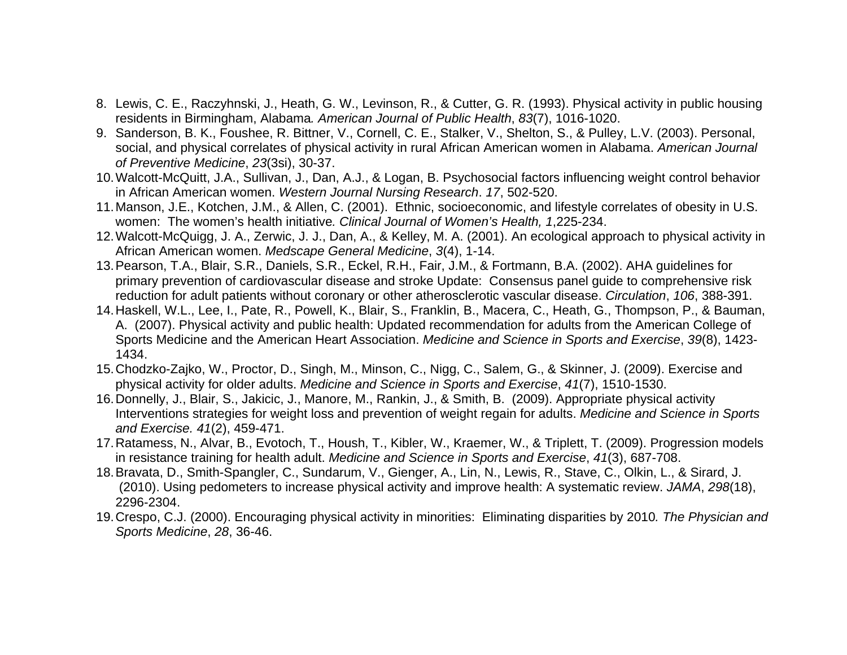- 8. Lewis, C. E., Raczyhnski, J., Heath, G. W., Levinson, R., & Cutter, G. R. (1993). Physical activity in public housing residents in Birmingham, Alabama*. American Journal of Public Health*, *83*(7), 1016-1020.
- 9. Sanderson, B. K., Foushee, R. Bittner, V., Cornell, C. E., Stalker, V., Shelton, S., & Pulley, L.V. (2003). Personal, social, and physical correlates of physical activity in rural African American women in Alabama. *American Journal of Preventive Medicine*, *23*(3si), 30-37.
- 10. Walcott-McQuitt, J.A., Sullivan, J., Dan, A.J., & Logan, B. Psychosocial factors influencing weight control behavior in African American women. *Western Journal Nursing Research*. *17*, 502-520.
- 11. Manson, J.E., Kotchen, J.M., & Allen, C. (2001). Ethnic, socioeconomic, and lifestyle correlates of obesity in U.S. women: The women's health initiative*. Clinical Journal of Women's Health, 1*,225-234.
- 12. Walcott-McQuigg, J. A., Zerwic, J. J., Dan, A., & Kelley, M. A. (2001). An ecological approach to physical activity in African American women. *Medscape General Medicine*, *3*(4), 1-14.
- 13. Pearson, T.A., Blair, S.R., Daniels, S.R., Eckel, R.H., Fair, J.M., & Fortmann, B.A. (2002). AHA guidelines for primary prevention of cardiovascular disease and stroke Update: Consensus panel guide to comprehensive risk reduction for adult patients without coronary or other atherosclerotic vascular disease. *Circulation*, *106*, 388-391.
- 14. Haskell, W.L., Lee, I., Pate, R., Powell, K., Blair, S., Franklin, B., Macera, C., Heath, G., Thompson, P., & Bauman, A. (2007). Physical activity and public health: Updated recommendation for adults from the American College of Sports Medicine and the American Heart Association. *Medicine and Science in Sports and Exercise*, *39*(8), 1423- 1434.
- 15. Chodzko-Zajko, W., Proctor, D., Singh, M., Minson, C., Nigg, C., Salem, G., & Skinner, J. (2009). Exercise and physical activity for older adults. *Medicine and Science in Sports and Exercise*, *41*(7), 1510-1530.
- 16. Donnelly, J., Blair, S., Jakicic, J., Manore, M., Rankin, J., & Smith, B. (2009). Appropriate physical activity Interventions strategies for weight loss and prevention of weight regain for adults. *Medicine and Science in Sports and Exercise. 41*(2), 459-471.
- 17. Ratamess, N., Alvar, B., Evotoch, T., Housh, T., Kibler, W., Kraemer, W., & Triplett, T. (2009). Progression models in resistance training for health adult. *Medicine and Science in Sports and Exercise*, *41*(3), 687-708.
- 18. Bravata, D., Smith-Spangler, C., Sundarum, V., Gienger, A., Lin, N., Lewis, R., Stave, C., Olkin, L., & Sirard, J. (2010). Using pedometers to increase physical activity and improve health: A systematic review. *JAMA*, *298*(18), 2296-2304.
- 19. Crespo, C.J. (2000). Encouraging physical activity in minorities: Eliminating disparities by 2010*. The Physician and Sports Medicine*, *28*, 36-46.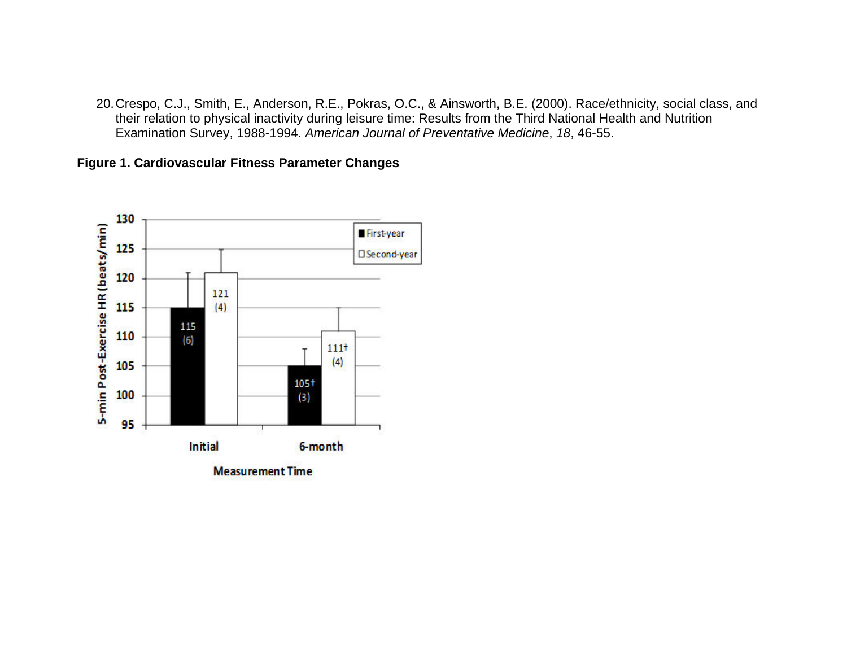20. Crespo, C.J., Smith, E., Anderson, R.E., Pokras, O.C., & Ainsworth, B.E. (2000). Race/ethnicity, social class, and their relation to physical inactivity during leisure time: Results from the Third National Health and Nutrition Examination Survey, 1988-1994. *American Journal of Preventative Medicine*, *18*, 46-55.

**Figure 1. Cardiovascular Fitness Parameter Changes**